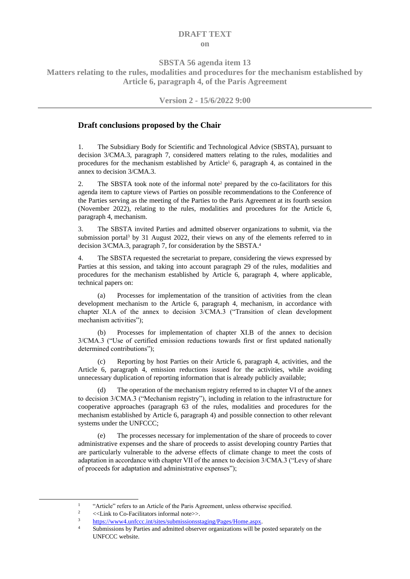## **DRAFT TEXT on**

**SBSTA 56 agenda item 13**

**Matters relating to the rules, modalities and procedures for the mechanism established by Article 6, paragraph 4, of the Paris Agreement**

**Version 2 - 15/6/2022 9:00**

## **Draft conclusions proposed by the Chair**

1. The Subsidiary Body for Scientific and Technological Advice (SBSTA), pursuant to decision 3/CMA.3, paragraph 7, considered matters relating to the rules, modalities and procedures for the mechanism established by Article<sup>1</sup> 6, paragraph 4, as contained in the annex to decision 3/CMA.3.

2. The SBSTA took note of the informal note<sup>2</sup> prepared by the co-facilitators for this agenda item to capture views of Parties on possible recommendations to the Conference of the Parties serving as the meeting of the Parties to the Paris Agreement at its fourth session (November 2022), relating to the rules, modalities and procedures for the Article 6, paragraph 4, mechanism.

3. The SBSTA invited Parties and admitted observer organizations to submit, via the submission portal<sup>3</sup> by 31 August 2022, their views on any of the elements referred to in decision 3/CMA.3, paragraph 7, for consideration by the SBSTA.<sup>4</sup>

4. The SBSTA requested the secretariat to prepare, considering the views expressed by Parties at this session, and taking into account paragraph 29 of the rules, modalities and procedures for the mechanism established by Article 6, paragraph 4, where applicable, technical papers on:

(a) Processes for implementation of the transition of activities from the clean development mechanism to the Article 6, paragraph 4, mechanism, in accordance with chapter XI.A of the annex to decision 3/CMA.3 ("Transition of clean development mechanism activities");

(b) Processes for implementation of chapter XI.B of the annex to decision 3/CMA.3 ("Use of certified emission reductions towards first or first updated nationally determined contributions");

(c) Reporting by host Parties on their Article 6, paragraph 4, activities, and the Article 6, paragraph 4, emission reductions issued for the activities, while avoiding unnecessary duplication of reporting information that is already publicly available;

(d) The operation of the mechanism registry referred to in chapter VI of the annex to decision 3/CMA.3 ("Mechanism registry"), including in relation to the infrastructure for cooperative approaches (paragraph 63 of the rules, modalities and procedures for the mechanism established by Article 6, paragraph 4) and possible connection to other relevant systems under the UNFCCC;

(e) The processes necessary for implementation of the share of proceeds to cover administrative expenses and the share of proceeds to assist developing country Parties that are particularly vulnerable to the adverse effects of climate change to meet the costs of adaptation in accordance with chapter VII of the annex to decision 3/CMA.3 ("Levy of share of proceeds for adaptation and administrative expenses");

<sup>1</sup> "Article" refers to an Article of the Paris Agreement, unless otherwise specified.

<sup>&</sup>lt;sup>2</sup> <<<a>>>Link to Co-Facilitators informal note>>.

<sup>&</sup>lt;sup>3</sup> [https://www4.unfccc.int/sites/submissionsstaging/Pages/Home.aspx.](https://www4.unfccc.int/sites/submissionsstaging/Pages/Home.aspx)

Submissions by Parties and admitted observer organizations will be posted separately on the UNFCCC website.